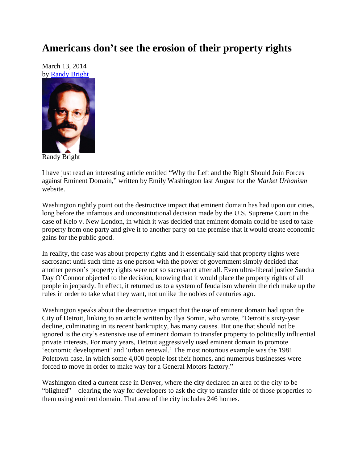## **Americans don't see the erosion of their property rights**

March 13, 2014 by [Randy Bright](http://tulsabeacon.com/writers/randy-bright/)



Randy Bright

I have just read an interesting article entitled "Why the Left and the Right Should Join Forces against Eminent Domain," written by Emily Washington last August for the *Market Urbanism* website.

Washington rightly point out the destructive impact that eminent domain has had upon our cities, long before the infamous and unconstitutional decision made by the U.S. Supreme Court in the case of Kelo v. New London, in which it was decided that eminent domain could be used to take property from one party and give it to another party on the premise that it would create economic gains for the public good.

In reality, the case was about property rights and it essentially said that property rights were sacrosanct until such time as one person with the power of government simply decided that another person"s property rights were not so sacrosanct after all. Even ultra-liberal justice Sandra Day O'Connor objected to the decision, knowing that it would place the property rights of all people in jeopardy. In effect, it returned us to a system of feudalism wherein the rich make up the rules in order to take what they want, not unlike the nobles of centuries ago.

Washington speaks about the destructive impact that the use of eminent domain had upon the City of Detroit, linking to an article written by Ilya Somin, who wrote, "Detroit's sixty-year decline, culminating in its recent bankruptcy, has many causes. But one that should not be ignored is the city"s extensive use of eminent domain to transfer property to politically influential private interests. For many years, Detroit aggressively used eminent domain to promote 'economic development' and 'urban renewal.' The most notorious example was the 1981 Poletown case, in which some 4,000 people lost their homes, and numerous businesses were forced to move in order to make way for a General Motors factory."

Washington cited a current case in Denver, where the city declared an area of the city to be "blighted" – clearing the way for developers to ask the city to transfer title of those properties to them using eminent domain. That area of the city includes 246 homes.